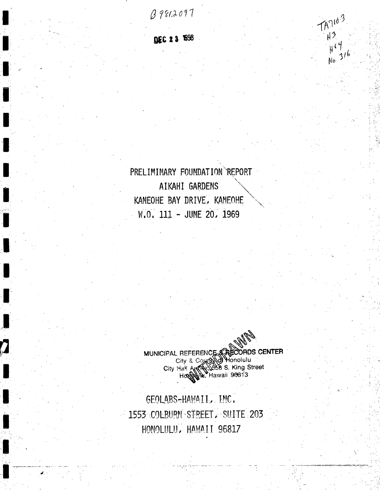$8981.2097$ 

 $17103$ 

 $H^3$ 

 $H^{(4)}$ No 316

DEC 23 1998

PRELIMINARY FOUNDATION REPORT AIKAHI GARDENS KANEOHE BAY DRIVE, KANEOHE W.O. 111 - JUNE 20, 1969

MUNICIPAL REFERENCE ACCORDS CENTER<br>City & County of Honolulu<br>City Hall Antes Sols S. King Street<br>House House Hawaii 90013

GEOLABS-HAWAII, INC. 1553 COLBURN STREET. SUITE 203 HONOLULU, HAWAII 96817

Į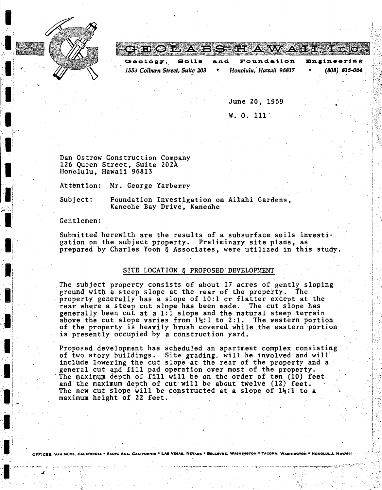

I

I\_ I

·I~

**·1-** ! ' ' ' I

> $\blacksquare$ I i

> > i

 $\blacksquare$  $\blacksquare$ .I

 $\blacksquare$ *::* ;. ' ' **.I** 

I

 $\blacksquare$ 

··li

:.~ ·. '!

l i i., 1 i  $\blacksquare$ : **.·1,** •j  $\cdot$  .

|                                |              |     | <u>CHILONEYA ERDIERA WAZA HERZOPOA</u> |                    |
|--------------------------------|--------------|-----|----------------------------------------|--------------------|
| $Ge^{O}$                       | <b>80118</b> | and | Foundation                             | <b>Engineering</b> |
| 1553 Colburn Street, Suite 203 |              |     | Honolulu, Hawaii 96817                 | $(808)$ 815-064    |

June 20, 1969

 $\ddot{\phantom{1}}$ 

 $\mathfrak{l}$  .  $F^{\prime}$ ·,(~

 $~\cdot~\cdot~\cdot~\cdot~\cdot~\cdot~$ 

:l ' .... \_, ... ··'.

·'·

... ,.

w. o. 111'

Dan Ostrow Construction Company 126 Queen Street, Suite 202A Honolulu, Hawaii 96813

Attention: Mr. George Yarberry

Subject: Foundation Investigation on Aikahi Gardens, Kaneohe Bay Drive, Kaneohe

Gentlemen:

Submitted herewith are the results of a subsurface soils investigation on the subject property. Preliminary site plans, as prepared by Charles Yooh & Associates, were utilized in this study.

### SlTE LOCATION & PROPOSED'DEVELOPMENT

The subject property consists of about 17 acres of gently sloping ground with a steep slope at the rear of the property. The property generally has a slope of 10:1 or flatter except at the rear where a steep cut slope has been made. The cut slope has generally been cut at a 1:1 slope and the natural steep terrain above the cut slope varies from  $1\frac{1}{2}$ :1 to 2:1. The western portion of the property is heavily brush covered while the eastern portion is presently occupied by a construction yard.

Proposed development has scheduled an apartment complex consisting<br>of two story buildings. Site grading: will be involved and will include lowering the cut siope at the rear of the property and a general cut and fill pad operation over most of the property. The maximum depth of fill will be on the. order of teh (10) feet and the maximum depth of cut will be about twelve  $(12)$  feet. The new cut slope will be constructed at a slope of  $1\frac{1}{2}$ :1 to a maximum height of 22 feet.

ANA, CALIFORNIA • LAB VEGAB, NEVADA • BELLEVUE, WASHINGTON • TACOMA, WASHINGTON • HONOLULU, HAW

.J: ~-;":-'

i. ..<br>. Die en sein ingene van die sterk van die sterk van die sterk op die sterk van die sterk van die sterk op die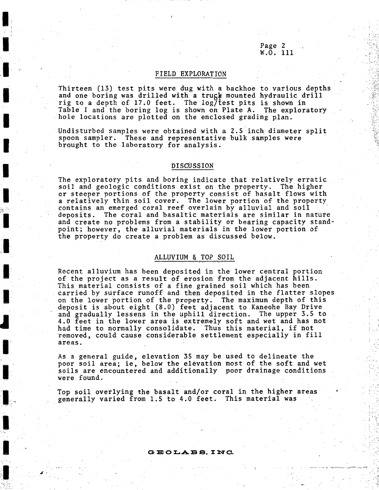## Page 2 W.O. 111

 $\begin{array}{ccc} \bullet & & & \bullet \\ & \bullet & & & \bullet \\ & \bullet & & & \bullet \end{array}$ 

'•

..·

.., •• ,\_ , .. -.~ *n* ~·:r··"""".'''•!. -.·;r~:-... • .. , .. , -·~· ,

### FIELD EXPLORATION

Thirteen (13) test pits were dug with a backhoe to various depths and one boring was drilled with a trugk mounted hydraulic drill rig to a depth of 17.0 feet. The log/test pits is shown in Table I and the boring log is shown on Plate A. The exploratory hole locations are plotted on the enclosed grading plan.

Undisturbed samples were obtained with a 2.5 inch diameter split spoon sampler. These and representative bulk samples were brought to the laboratory for analysis.

### DISCUSSION

The exploratory pits and boring indicate that relatively erratic soil and geologic conditions exist on the property. The higher or steeper portions of the property consist of basalt flows with a relatively thin soil cover. The lower portion of the property contains an emerged coral reef overlain by alluvial and soil deposits. The coral and basaltic materials are similar in nature and create no problems from a stability or bearing capacity standpoint; however, the alluvial materials in the lower portion of the property do create a problem as discussed below.

# ALLVVIUM & TOP SOIL

Recent alluvium has been deposited in the lower central portion of the project as a result of erosion from the adjacent hills. This material consists of a fine. grained soil which has been carried by surface runoff and then deposited in the flatter slopes on the lower portion of the property. The maximum depth of this deposit is about eight (8.0) feet adjacent to Kaneohe Bay Drive and gradually lessens in the uphill direction. The upper 3.5 to 4.0 feet in the lower area is extremely soft and wet and has not had time to normally consolidate. Thus this material, if not removed, could cause considerable settlement especially in fill areas.

As a general guide, elevation 35 may be used to delineate the poor soil area; ie, below the elevation most of the soft and wet soils are encountered and additionally poor drainage conditions were. found.

Top soil overlying the basalt and/or coral in the higher areas generally varied from 1.5 to 4.0 feet. This material was

### **G :ED 0 L..A :S .B. 1:** NC.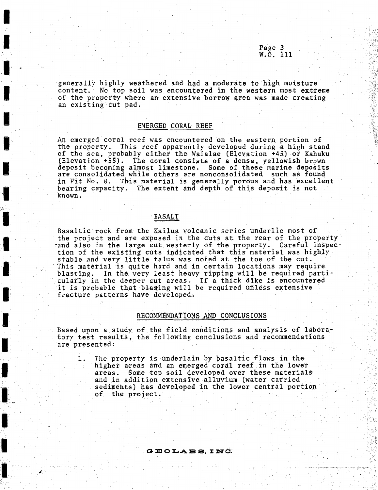Page 3 W.O. 111

 $\mathbf{e}^{\mathbf{i}^{\prime}}$ 

 $\mathbb{R}_{\geq 0}$ 

'·:;:  $: \cdot$ 

'"'

-.-~ ., ., ........ --.. ---: ... -·-··· ·:···-:.· ':·· -: ~--~ ·:·:::-~·'<

generally highly weathered and had a moderate to high moisture content. No top soil was encountered in the western most extreme of the property where an extensive borrow area was made creating an existing cut pad.

### EMERGED CORAL REEF

An emerged coral reef was encountered on the eastern portion of the property. This reef apparently developed during a high stand of the sea, probably either the Waialae (Elevation +45) or Kahuku (Elevation  $+55$ ). The coral consists of a dense, yellowish brown deposit becoming almost limestone. Some of these marine deposits are consolidated while others are nonconsolidated such as found in Pit No. 8. This material is generally porous and has excellent bearing capacity. The extent and depth of this deposit is not known. ·

### ${\tt BASALT}$

Basaltic rock from the Kailua volcanic series underlie most of the project and are exposed in the cuts at the rear of the property :<br>cand also in the large cut westerly of the property. Careful inspection of the existing cuts indicated that this material was highly stable and very little talus was noted at the toe of the cut.<br>This material is quite hard and in certain locations may require blasting. In the very least heavy ripping will be required particularly in the deeper cut areas. If a thick dike is encountered it is probable that blasing will be required unless extensive fracture patterns have developed.

### RECOMMENDATlONS AND CONCLUSIONS

Based upon a study of the field conditions and analysis of laboratory test results, the following conclusions and recommendations are presented:

1. The property is underlain by basaltic flows in the higher areas and an emerged coral reef in the lower areas. Some top soil developed over these materials and in addition extensive alluvium (water carried sediments) has developed in the lower central portion of the project.

#### **G :a: 0 L.A. :as. J: NC.**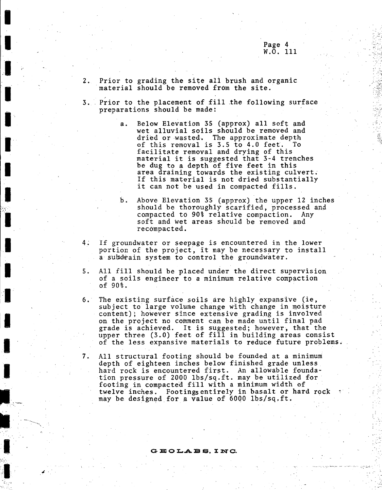~- .

·"•,;,-·.'

··:·.

::~::.: ··<:;1

2. Prior to grading the site all brush and organic material should be temoved from the site.

I

I

**.I** ,.

I

**I·** 

I

I

I  $\overline{\phantom{a}}$  .

I

I

 $\mathbf{r}$ 

I

I

I

···-··  $\sum_{i=1}^n$ ' ' ~-, ' .,

'

.I

, " .·

I

<:-~1':·\_' ' .

*··:·* 

- 3. Prior to the placement of fill the following surface preparations should be made:
	- a. Below Elevation 35 (approx) all soft and wet alluvial soils should be removed and dried or wasted. The approximate depth of this removal is 3.5 to 4.0 feet. To facilitate removal and drying of this material it is suggested that 3-4 trenches be dug to a depth of five feet in this area draining towards the existing culvert. If this material is not dried substantially it can not be used in compacted fills.
	- b. Above Elevation 35 (approx) the upper 12 inches should be thoroughly scarified, processed and compacted to 90% relative compaction. Any soft and wet areas should be removed and recompacted.
- 4; If groundwater or seepage is encountered in the lower portion of the project, it may be necessary to install a subdrain system to control the groundwater.
- 5. All fill should be placed under the direct supervision of a soils engineer to a minimum relative compaction of 90% .
- 6. The existing surface soils are highly expansive (ie, subject to large volume change with change in moisture content); however since extensive grading is involved on the project no comment can be made until final pad grade is achieved. It is suggested; however, that the upper three (3.0) feet of fill in building areas consist of the less expansive materials to reduce future problems.
- 7. All structural footing should be founded at a minimum depth of eighteen inches below finished grade unless hard rock is encountered first. An allowable foundation pressure of 2000 lhs/sq.ft. may be utilized for footing in compacted fill with a minimum width of twelve inches. Footingsentirely in basalt or hard rock may be designed for a value of 6000 lbs/sq.ft.

#### $\tt{G}$   $\tt{E}$   $\tt{O}$   $\tt{L}$   $\tt{A}$   $\tt{B}$   $\tt{S}$ ,  $\tt{I}$   $\tt{N}$   $\tt{C}$ .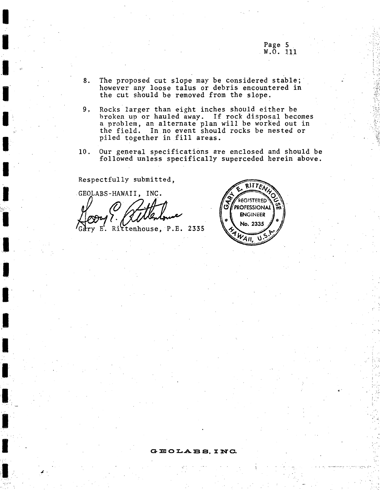Page 5<br>W.O. 111

- The proposed cut slope may be considered stable; 8. however any loose talus or debris encountered in the cut should be removed from the slope.
- 9, Rocks larger than eight inches should either be broken up or hauled away. If rock disposal becomes a problem, an alternate plan will be worked out in the field. In no event should rocks be nested or piled together in fill areas.
- $10.$ Our general specifications are enclosed and should be followed unless specifically superceded herein above.

Respectfully submitted,

GEOLABS-HAWAII, INC. E. Rittenhouse, P.E. 2335

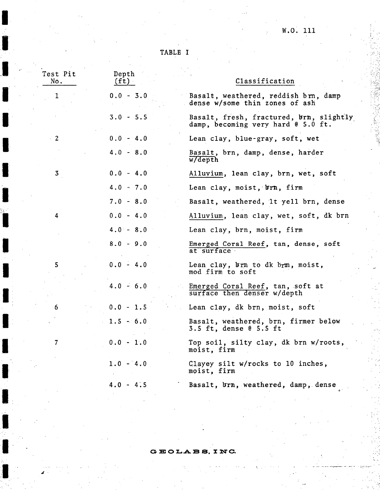$W.0. 111$ 

•. -" ~-·~--·-·· ·- "'.. ·.c:-: -~,---

.. -

TABLE I

| Test Pit<br>No. | Depth<br>(ft) | Classification                                                                |
|-----------------|---------------|-------------------------------------------------------------------------------|
| ı               | $0.0 - 3.0$   | Basalt, weathered, reddish brn, damp<br>dense w/some thin zones of ash        |
|                 | $3.0 - 5.5$   | Basalt, fresh, fractured, brn, slightly<br>damp, becoming very hard @ 5.0 ft. |
| $\mathbf{2}$    | $0.0 - 4.0$   | Lean clay, blue-gray, soft, wet                                               |
|                 | $4.0 - 8.0$   | Basalt, brn, damp, dense, harder<br>$\overline{w}$ depth                      |
| $\mathbf{3}$    | $0.0 - 4.0$   | Alluvium, lean clay, brn, wet, soft                                           |
|                 | $4.0 - 7.0$   | Lean clay, moist, brn, firm                                                   |
|                 | $7.0 - 8.0$   | Basalt, weathered, it yell brn, dense                                         |
| 4               | $0.0 - 4.0$   | Alluvium, lean clay, wet, soft, dk brn                                        |
|                 | $4.0 - 8.0$   | Lean clay, brn, moist, firm                                                   |
|                 | $8.0 - 9.0$   | Emerged Coral Reef, tan, dense, soft<br>at surface                            |
| 5               | $0.0 - 4.0$   | Lean clay, brn to dk brn, moist,<br>mod firm to soft                          |
|                 | $4.0 - 6.0$   | Emerged Coral Reef, tan, soft at<br>surface then denser w/depth               |
| 6               | $0.0 - 1.5$   | Lean clay, dk brn, moist, soft                                                |
|                 | $1.5 - 6.0$   | Basalt, weathered, brn, firmer below<br>$3.5$ ft, dense $0$ 5.5 ft            |
| 7               | $0.0 - 1.0$   | Top soil, silty clay, dk brn w/roots,<br>moist, firm                          |
|                 | $1.0 - 4.0$   | Clayey silt w/rocks to 10 inches,<br>moist, firm                              |
|                 | $4.0 - 4.5$   | Basalt, brn, weathered, damp, dense                                           |
|                 |               |                                                                               |

GEOLABS, INC.

 $\epsilon$ 

l

ł

J

I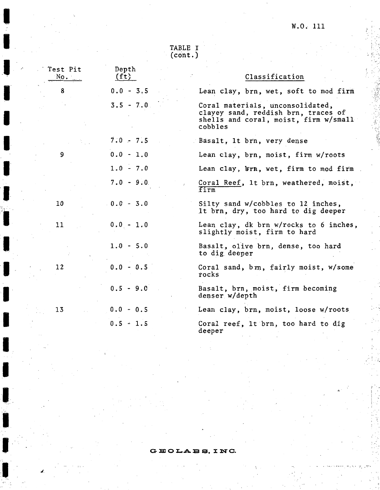'·'

 $i \cdot$ 

.~·  $r<sup>2</sup>$ -

:

TABLE I (cont.)

I

I

**.I** 

,.

.#.

I

| Test Pit<br>$NQ$ , $\Box$ | Depth<br>(f <sub>t</sub> ) | Classification                                                                                                              |
|---------------------------|----------------------------|-----------------------------------------------------------------------------------------------------------------------------|
| 8                         | $0.0 - 3.5$                | Lean clay, brn, wet, soft to mod firm                                                                                       |
|                           | $3.5 - 7.0$                | Coral materials, unconsolidated,<br>clayey sand, reddish brn, traces of<br>shells and coral, moist, firm w/small<br>cobbles |
|                           | $7.0 - 7.5$                | Basalt, It brn, very dense                                                                                                  |
| 9                         | $0.0 - 1.0$                | Lean clay, brn, moist, firm w/roots                                                                                         |
|                           | $1.0 - 7.0$                | Lean clay, brn, wet, firm to mod firm                                                                                       |
|                           | $7.0 - 9.0$                | Coral Reef, 1t brn, weathered, moist,<br>firm                                                                               |
| 10                        | $0.0 - 3.0$                | Silty sand w/cobbles to 12 inches,<br>It brn, dry, too hard to dig deeper                                                   |
| 11                        | $0, 0 - 1.0$               | Lean clay, dk brn w/rocks to 6 inches,<br>slightly moist, firm to hard                                                      |
|                           | $1.0 - 5.0$                | Basalt, olive brn, dense, too hard<br>to dig deeper                                                                         |
| 12                        | $0.0 - 0.5$                | Coral sand, brn, fairly moist, w/some<br>rocks                                                                              |
|                           | $0.5 - 9.0$                | Basalt, brn, moist, firm becoming<br>denser w/depth                                                                         |
| 13                        | $0.0 - 0.5$                | Lean clay, brn, moist, loose w/roots                                                                                        |
|                           | $0.5 - 1.5$                | Coral reef, It brn, too hard to dig<br>deeper                                                                               |

GEOLABS, INC.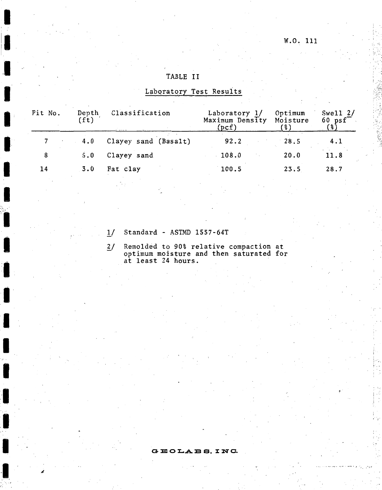# W.O. 111

,··r·

· ~.· *"r* · -,.~ •~ .. • *t* 

# TABLE II

# Laboratory Test Results

| Pit No. | Depth<br>(ft) | Classification       | Laboratory 1/<br>Maximum Density<br>(pcf) | Optimum<br>Moisture<br>"%) | Swell $2/$<br>$60 \text{ psf}^{-1}$ |
|---------|---------------|----------------------|-------------------------------------------|----------------------------|-------------------------------------|
|         | 4.0           | Clayey sand (Basalt) | 92.2                                      | 28.5                       | 4:1                                 |
| 8       | 5.0           | Clayey sand          | 108.0                                     | 20.0                       | 11.8                                |
| 14      | 3.0           | Fat clay             | 100.5                                     | 23.5                       | 28.7                                |
|         |               |                      |                                           |                            |                                     |

- l/ Standard ASTMD 1557-64T
- 2/ Remolded to 90% relative compaction at optimum moisture and then saturated for at least 24 hours.

GEOLABS, INC.

<sup>~</sup>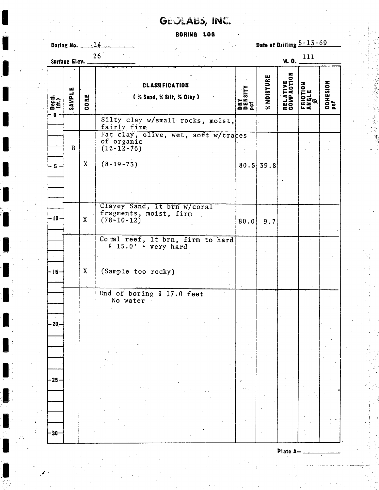# GEOLABS, INC.

# **BORING LOG**

Date of Drilling 5-13-69  $-14$ Boring No. \_ 26 111 Surface Elev. W.O. RELATIVE<br>Compaction % MOISTURE COHESION<br>psf **CLASSIFICATION** FRICTION<br>Angle<br>*P* DRY<br>Density<br>Pcf SAMPLE CORE (% Sand, % Silt, % Clay)  $\begin{matrix} n_{\rm eff} \\ n_{\rm eff} \end{matrix}$  $\bullet$ Silty clay w/small rocks, moist, fairly firm Fat clay, olive, wet, soft w/traces<br>of organic  $\mathbf{B}$  $(12 - 12 - 76)$  $\mathbf{x}$  $(8-19-73)$  $80.5$  39.8  $-5-$ Clayey Sand, It brn w/coral fragments, moist, firm  $-10 \mathbf{X}$  $(78 - 10 - 12)$  $80.0$  $9.7$ Comal reef, 1t brn, firm to hard<br>
@ 15.0' - very hard  $\mathbf{X}$ (Sample too rocky)  $-15-$ End of boring @ 17.0 feet No water  $20 -25 30 -$ 

Plate A-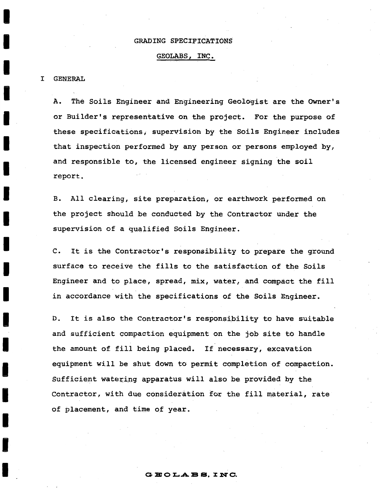# GRADING SPECIFICATIONS

# GEOLABS, INC.

# I GENERAL

A. The Soils Engineer and Engineering Geologist are the OWner's or Builder's representative on the project. For the purpose of these specifications; supervision by the Soils Engineer includes that inspection performed by any person or persons employed by, and responsible to, the licensed engineer Signing the soil report.

B. All clearing, site preparation, or earthwork performed on the project should be conducted by the Contractor under the supervision of a qualified Soils Engineer.

c. It is the Contractor's responsibility to prepare the ground surface to receive the fills to the satisfaction of the Soils Engineer and to place, spread, mix, water, and compact the fill in accordance with the specifications of the Soils Engineer.

D. It is also the Contractor's responsibility to have suitable and sufficient compaction equipment on the job site to handle the amount of fill being placed. If necessary, excavation equipment will be shut down to permit completion of compaction. Sufficient watering apparatus will also be provided by the Contractor, with due consideration for the fill material, rate of placement, and time of year.

### **G :a: 0 L.A :a e. X** NC.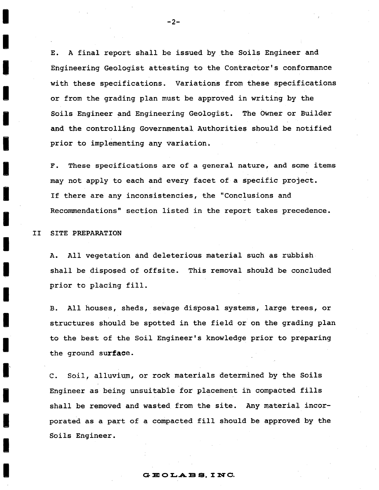E. A final report shall be issued by the Soils Engineer and Engineering Geologist attesting to the Contractor's conformance with these specifications. Variations from these specifications or from the grading plan must be approved in writing by the Soils Engineer and Engineering Geologist. The Owner or Builder and the controlling Governmental Authorities should be notified prior to implementing any variation.

F. These specifications are of a general nature, and some items may not apply to each and every facet of a specific project. If there are any inconsistencies, the "Conclusions and Recommendations" section listed in the report takes precedence.

II SITE PREPARATION

A. All vegetation and deleterious material such as rubbish shall be disposed of offsite. This removal should be concluded prior to placing fill.

B. All houses, sheds, sewage disposal systems, large trees, or structures should be spotted in the field or on the grading plan to the best of the Soil Engineer's knowledge prior to preparing the ground surface.

C. Soil, alluvium, or rock materials determined by the Soils Engineer as being unsuitable for placement in compacted fills shall be removed and wasted from the site. Any material incorporated as a part of a compacted fill should be approved by the Soils Engineer.

-2-

#### GEOLABS, INC.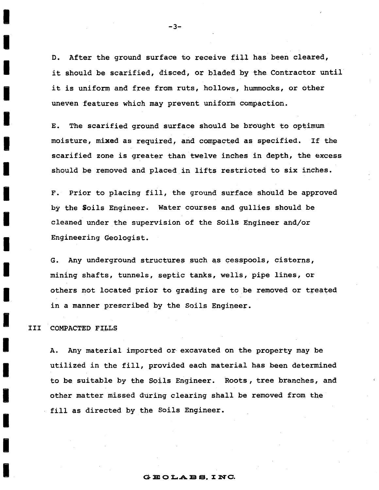D. After the ground surface to receive fill has been cleared, it should be scarified, disced, or bladed by the Contractor until it is uniform and free from ruts, hollows, hummocks, or other uneven features which may prevent uniform compaction.

E. The scarified ground surface should be brought to optimum moisture, mixed as required, and compacted as specified. If the scarified zone is greater than twelve inches in depth, the excess should be removed and placed in lifts restricted to six inches.

F. Prior to placing fill, the ground surface should be approved by the Soils Engineer. Water courses and gullies should be cleaned under the supervision of the Soils Engineer and/or Engineering Geologist.

G. Any underground structures such as cesspools, cisterns, mining shafts, tunnels, septic tanks, wells, pipe lines, or others not located prior to grading are to be removed or treated in a manner prescribed by the Soils Engineer.

# III COMPACTED FILLS

A. Any material imported or- excavated on the property may be utilized in the fill, provided each material has been determined to be suitable by the Soils Engineer. Roots, tree branches, and other matter missed during clearing shall be removed from the fill as directed by the Soils Engineer.

 $G.E.O.LA B S. INC.$ 

 $-3 -$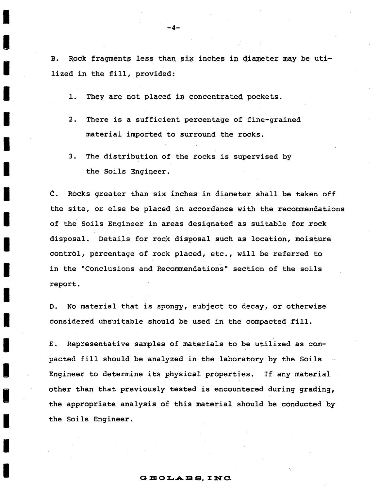B. Rock fragments less than six inches in diameter may be utilized in the fill, provided:

1. They are not placed in concentrated pockets.

- 2. There is a sufficient percentage of fine-grained material imported to surround the rocks.
- 3. The distribution of the rocks is supervised by the Soils Engineer.

C. ROcks greater than six inches in diameter shall be taken off the site, or else be placed in accordance with the recommendations of the Soils Engineer in areas designated as suitable for rock disposal. Details for rock disposal such as location, moisture control, percentage of rock placed, etc., will be referred to. in the "Conclusions and Recommendations" section of the soils report.

D. No material that is spongy, subject to decay, or otherwise considered unsuitable should be used in the compacted fill.

E. Representative samples of materials to be utilized as compacted fill should be analyzed in the laboratory by the Soils Engineer to determine its physical properties. If any materiai other than that previously tested is encountered during grading, the appropriate analysis of this material should be conducted by the Soils Engineer.

#### -4-

### GEOLABS, INC.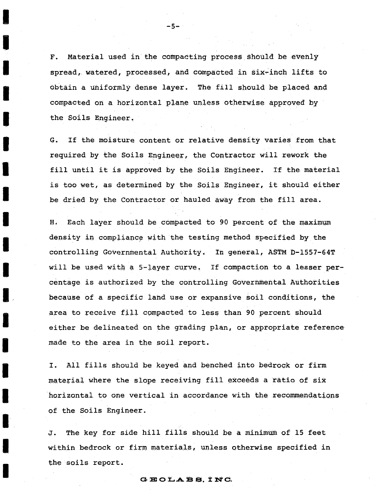F. Material used in the compacting process should be evenly spread, watered, processed, and compacted in six-inch lifts to obtain a uniformly dense layer. The fill should be placed and compacted on a horizontal plane unless otherwise approved by the Soils Engineer.

G. If the moisture content or relative density varies from that required by the Soils Engineer, the Contractor will rework the fill until it is approved by the Soils Engineer. If the material is too wet, as determined by the Soils Engineer, it should either be dried by the Contractor or hauled away from the fill area.

H. Each layer should be compacted to 90 percent of the maximum density in compliance with the testing method specified by the controlling Governmental Authority. In general, ASTM D-1557-64T will be used with a 5-layer curve. If compaction to a lesser percemta9e is authorized by the controlling Governmental Authorities because of a specific land use or expansive soil conditions, the area to receive fill compacted to less than 90 percent should either be delineated on the grading plan, or appropriate reference made to the area in the soil report.

I. All fills should be keyed and benched into bedrock or firm material where the slope receiving fill exceeds a ratio of six horizontal to one vertical in accordance with the recommendations of the Soils Engineer .

J. The key for side hill fills should be a minimum of 15 feet within bedrock or firm materials, unless otherwise specified in the soils report.

# **G:S:OL.ABS. :INC.**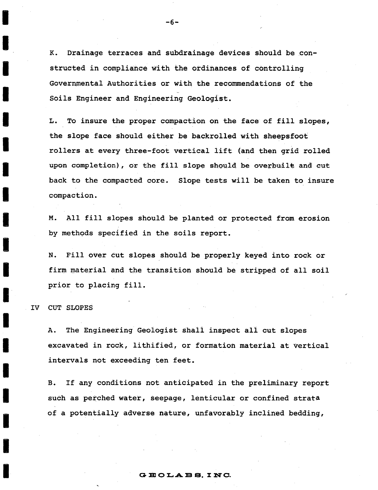K. Drainage terraces and subdrainage devices should be constructed in compliance with the ordinances of controlling Governmental Authorities or with the recommendations of the Soils Engineer and Engineering Geologist.

L. To insure the proper compaction on the face of fill slopes, the slope face should either be backrolled with sheepsfoot rollers at every three-foot vertical lift (and then grid rolled upon completion), or the fill slope should be overbuile and cut back to the compacted core. Slope tests will be taken to insure compaction.

M. All fill slopes should be planted or protected from erosion by methods specified in the soils report.

N. Fill over cut slopes shouid be properly keyed into rock or firm material and the transition should be stripped of all soil prior to placing fill.

IV CUT SLOPES

A. The Engineering Geologist shall inspect all cut slopes excavated in rock, lithified, or formation material at vertical intervals not exceeding ten feet.

B. If any conditions not anticipated in the preliminary report such as perched water, seepage, lenticular or confined strata of a potentially adverse nature, unfavorably inclined bedding,

#### -6-

## $G. B. O. A. B. S. I. N. C.$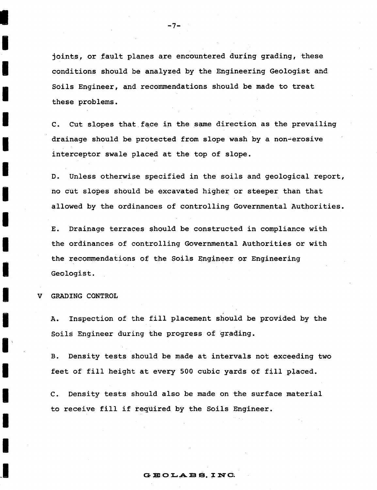joints, or fault planes are encountered during grading, these conditions should be analyzed by the Engineering Geologist and Soils Engineer, and. recommendations should be made to treat these problems.

-7-

c. Cut slopes that.face in the same direction as the prevailing drainage should be protected from slope wash by a non-erosive interceptor swale placed at the top of slope.

D. Unless otherwise specified in the soils and geological report, no cut slopes should be excavated higher or steeper than that allowed by the ordinances of controlling Governmental Authorities.

E. Drainage terraces should be constructed in compliance with the ordinances of controlling Governmental Authorities or with the recommendations of the Soils Engineer or Engineering Geologist.

GRADING CONTROL

A. Inspection of the fill placement should be provided by the Soils Engineer during the progress of grading.

B. Density tests should be made at intervals not exceeding two feet of fill height at every 500 cubic yards of fill placed.

C. Density tests should also be made on the surface material to receive fill if required by the Soils Engineer.

## $G.E.OLABS.$  INC.